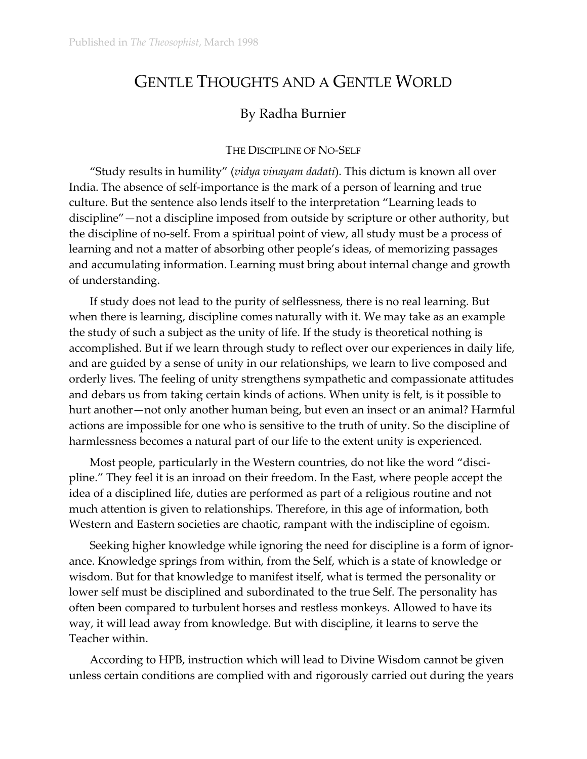## GENTLE THOUGHTS AND A GENTLE WORLD

## By Radha Burnier

## THE DISCIPLINE OF NO-SELF

"Study results in humility" (*vidya vinayam dadati*). This dictum is known all over India. The absence of self-importance is the mark of a person of learning and true culture. But the sentence also lends itself to the interpretation "Learning leads to discipline"—not a discipline imposed from outside by scripture or other authority, but the discipline of no-self. From a spiritual point of view, all study must be a process of learning and not a matter of absorbing other people's ideas, of memorizing passages and accumulating information. Learning must bring about internal change and growth of understanding.

If study does not lead to the purity of selflessness, there is no real learning. But when there is learning, discipline comes naturally with it. We may take as an example the study of such a subject as the unity of life. If the study is theoretical nothing is accomplished. But if we learn through study to reflect over our experiences in daily life, and are guided by a sense of unity in our relationships, we learn to live composed and orderly lives. The feeling of unity strengthens sympathetic and compassionate attitudes and debars us from taking certain kinds of actions. When unity is felt, is it possible to hurt another—not only another human being, but even an insect or an animal? Harmful actions are impossible for one who is sensitive to the truth of unity. So the discipline of harmlessness becomes a natural part of our life to the extent unity is experienced.

Most people, particularly in the Western countries, do not like the word "discipline." They feel it is an inroad on their freedom. In the East, where people accept the idea of a disciplined life, duties are performed as part of a religious routine and not much attention is given to relationships. Therefore, in this age of information, both Western and Eastern societies are chaotic, rampant with the indiscipline of egoism.

Seeking higher knowledge while ignoring the need for discipline is a form of ignorance. Knowledge springs from within, from the Self, which is a state of knowledge or wisdom. But for that knowledge to manifest itself, what is termed the personality or lower self must be disciplined and subordinated to the true Self. The personality has often been compared to turbulent horses and restless monkeys. Allowed to have its way, it will lead away from knowledge. But with discipline, it learns to serve the Teacher within.

According to HPB, instruction which will lead to Divine Wisdom cannot be given unless certain conditions are complied with and rigorously carried out during the years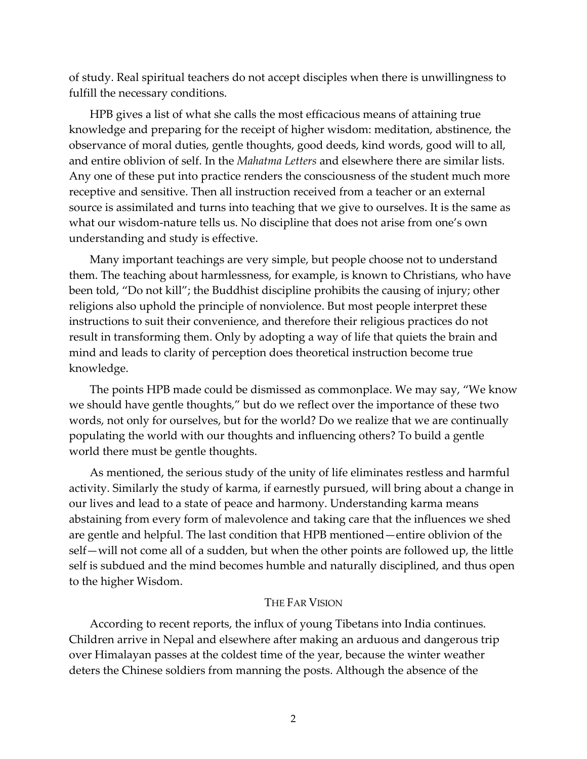of study. Real spiritual teachers do not accept disciples when there is unwillingness to fulfill the necessary conditions.

HPB gives a list of what she calls the most efficacious means of attaining true knowledge and preparing for the receipt of higher wisdom: meditation, abstinence, the observance of moral duties, gentle thoughts, good deeds, kind words, good will to all, and entire oblivion of self. In the *Mahatma Letters* and elsewhere there are similar lists. Any one of these put into practice renders the consciousness of the student much more receptive and sensitive. Then all instruction received from a teacher or an external source is assimilated and turns into teaching that we give to ourselves. It is the same as what our wisdom-nature tells us. No discipline that does not arise from one's own understanding and study is effective.

Many important teachings are very simple, but people choose not to understand them. The teaching about harmlessness, for example, is known to Christians, who have been told, "Do not kill"; the Buddhist discipline prohibits the causing of injury; other religions also uphold the principle of nonviolence. But most people interpret these instructions to suit their convenience, and therefore their religious practices do not result in transforming them. Only by adopting a way of life that quiets the brain and mind and leads to clarity of perception does theoretical instruction become true knowledge.

The points HPB made could be dismissed as commonplace. We may say, "We know we should have gentle thoughts," but do we reflect over the importance of these two words, not only for ourselves, but for the world? Do we realize that we are continually populating the world with our thoughts and influencing others? To build a gentle world there must be gentle thoughts.

As mentioned, the serious study of the unity of life eliminates restless and harmful activity. Similarly the study of karma, if earnestly pursued, will bring about a change in our lives and lead to a state of peace and harmony. Understanding karma means abstaining from every form of malevolence and taking care that the influences we shed are gentle and helpful. The last condition that HPB mentioned—entire oblivion of the self—will not come all of a sudden, but when the other points are followed up, the little self is subdued and the mind becomes humble and naturally disciplined, and thus open to the higher Wisdom.

## THE FAR VISION

According to recent reports, the influx of young Tibetans into India continues. Children arrive in Nepal and elsewhere after making an arduous and dangerous trip over Himalayan passes at the coldest time of the year, because the winter weather deters the Chinese soldiers from manning the posts. Although the absence of the